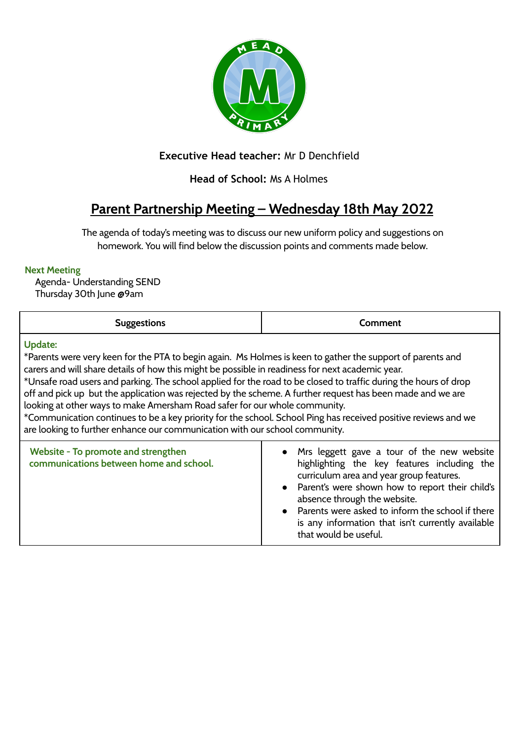

## **Executive Head teacher:** Mr D Denchfield

## **Head of School:** Ms A Holmes

# **Parent Partnership Meeting – Wednesday 18th May 2022**

The agenda of today's meeting was to discuss our new uniform policy and suggestions on homework. You will find below the discussion points and comments made below.

#### **Next Meeting**

Agenda- Understanding SEND Thursday 30th June @9am

| <b>Suggestions</b>                                                                                                                                                                                                                                                                                                                                                                                                                                                                                                                                                                                                                                                                                                                                | Comment                                                                                                                                                                                                                                                                                                                                                          |  |
|---------------------------------------------------------------------------------------------------------------------------------------------------------------------------------------------------------------------------------------------------------------------------------------------------------------------------------------------------------------------------------------------------------------------------------------------------------------------------------------------------------------------------------------------------------------------------------------------------------------------------------------------------------------------------------------------------------------------------------------------------|------------------------------------------------------------------------------------------------------------------------------------------------------------------------------------------------------------------------------------------------------------------------------------------------------------------------------------------------------------------|--|
| <b>Update:</b><br>*Parents were very keen for the PTA to begin again. Ms Holmes is keen to gather the support of parents and<br>carers and will share details of how this might be possible in readiness for next academic year.<br>*Unsafe road users and parking. The school applied for the road to be closed to traffic during the hours of drop<br>off and pick up but the application was rejected by the scheme. A further request has been made and we are<br>looking at other ways to make Amersham Road safer for our whole community.<br>*Communication continues to be a key priority for the school. School Ping has received positive reviews and we<br>are looking to further enhance our communication with our school community. |                                                                                                                                                                                                                                                                                                                                                                  |  |
| Website - To promote and strengthen<br>communications between home and school.                                                                                                                                                                                                                                                                                                                                                                                                                                                                                                                                                                                                                                                                    | • Mrs leggett gave a tour of the new website<br>highlighting the key features including the<br>curriculum area and year group features.<br>• Parent's were shown how to report their child's<br>absence through the website.<br>• Parents were asked to inform the school if there<br>is any information that isn't currently available<br>that would be useful. |  |